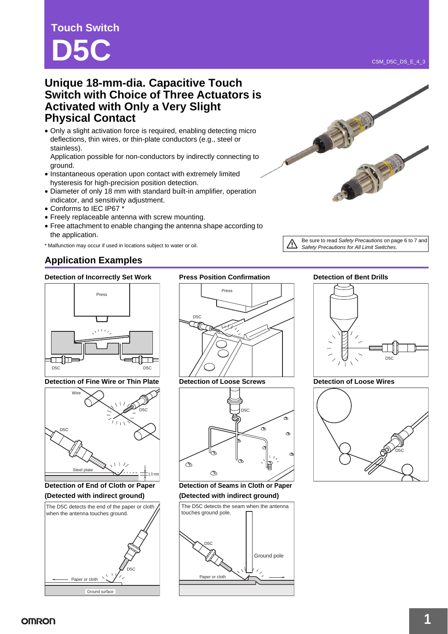# **Touch Switch D5C**

• Only a slight activation force is required, enabling detecting micro deflections, thin wires, or thin-plate conductors (e.g., steel or stainless).

Application possible for non-conductors by indirectly connecting to ground.

- Instantaneous operation upon contact with extremely limited hysteresis for high-precision position detection.
- Diameter of only 18 mm with standard built-in amplifier, operation indicator, and sensitivity adjustment.
- Conforms to IEC IP67 \*
- Freely replaceable antenna with screw mounting.
- Free attachment to enable changing the antenna shape according to the application.

\* Malfunction may occur if used in locations subject to water or oil.

### **Application Examples**

#### **Detection of Incorrectly Set Work Press Position Confirmation <b>Detection of Bent Drills**



**Detection of Fine Wire or Thin Plate Detection of Loose Screws Detection of Loose Wires**



**Detection of End of Cloth or Paper (Detected with indirect ground)**



D5C Press



**Detection of Seams in Cloth or Paper (Detected with indirect ground)**



Be sure to read *Safety Precautions* on page 6 to 7 and *Safety Precautions for All Limit Switches*.





CSM\_D5C\_DS\_E\_4\_3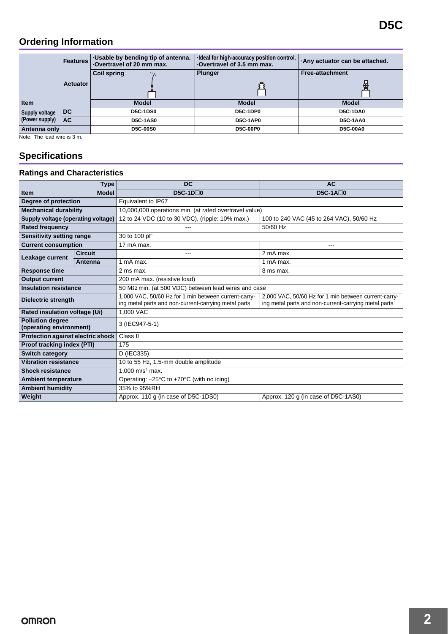## **Ordering Information**

|                | <b>Features</b> | Usable by bending tip of antenna.<br>-Overtravel of 20 mm max. | -Ideal for high-accuracy position control.<br>Overtravel of 3.5 mm max. | .Any actuator can be attached. |
|----------------|-----------------|----------------------------------------------------------------|-------------------------------------------------------------------------|--------------------------------|
|                |                 | <b>Coil spring</b><br>$^{\prime\prime}$                        | <b>Plunger</b>                                                          | <b>Free-attachment</b>         |
|                | <b>Actuator</b> |                                                                |                                                                         | ಱ                              |
| <b>Item</b>    |                 | <b>Model</b>                                                   | <b>Model</b>                                                            | <b>Model</b>                   |
| Supply voltage | DC.             | <b>D5C-1DS0</b>                                                | <b>D5C-1DP0</b>                                                         | <b>D5C-1DA0</b>                |
| (Power supply) | <b>AC</b>       | <b>D5C-1AS0</b>                                                | <b>D5C-1AP0</b>                                                         | <b>D5C-1AA0</b>                |
| Antenna only   |                 | <b>D5C-00S0</b>                                                | <b>D5C-00P0</b>                                                         | <b>D5C-00A0</b>                |

Note: The lead wire is 3 m.

## **Specifications**

### **Ratings and Characteristics**

| <b>Type</b>                                        |                | <b>DC</b>                                                                                                    | <b>AC</b>                                                                                                    |  |
|----------------------------------------------------|----------------|--------------------------------------------------------------------------------------------------------------|--------------------------------------------------------------------------------------------------------------|--|
| <b>Item</b>                                        | <b>Model</b>   | $DSC-1D\Box 0$                                                                                               | $DSC-1A\Box 0$                                                                                               |  |
| Degree of protection                               |                | Equivalent to IP67                                                                                           |                                                                                                              |  |
| <b>Mechanical durability</b>                       |                | 10,000,000 operations min. (at rated overtravel value)                                                       |                                                                                                              |  |
| Supply voltage (operating voltage)                 |                | 12 to 24 VDC (10 to 30 VDC), (ripple: 10% max.)                                                              | 100 to 240 VAC (45 to 264 VAC), 50/60 Hz                                                                     |  |
| <b>Rated frequency</b>                             |                | ---                                                                                                          | 50/60 Hz                                                                                                     |  |
| <b>Sensitivity setting range</b>                   |                | 30 to 100 pF                                                                                                 |                                                                                                              |  |
| <b>Current consumption</b>                         |                | 17 mA max.                                                                                                   | ---                                                                                                          |  |
| Leakage current                                    | <b>Circuit</b> | ---                                                                                                          | 2 mA max.                                                                                                    |  |
|                                                    | Antenna        | 1 mA max.                                                                                                    | 1 mA max.                                                                                                    |  |
| <b>Response time</b>                               |                | 2 ms max.                                                                                                    | 8 ms max.                                                                                                    |  |
| <b>Output current</b>                              |                | 200 mA max. (resistive load)                                                                                 |                                                                                                              |  |
| <b>Insulation resistance</b>                       |                | 50 M $\Omega$ min. (at 500 VDC) between lead wires and case                                                  |                                                                                                              |  |
| Dielectric strength                                |                | 1,000 VAC, 50/60 Hz for 1 min between current-carry-<br>ing metal parts and non-current-carrying metal parts | 2,000 VAC, 50/60 Hz for 1 min between current-carry-<br>ing metal parts and non-current-carrying metal parts |  |
| Rated insulation voltage (Ui)                      |                | 1.000 VAC                                                                                                    |                                                                                                              |  |
| <b>Pollution degree</b><br>(operating environment) |                | 3 (IEC947-5-1)                                                                                               |                                                                                                              |  |
| Protection against electric shock                  |                | Class II                                                                                                     |                                                                                                              |  |
| Proof tracking index (PTI)                         |                | 175                                                                                                          |                                                                                                              |  |
| <b>Switch category</b>                             |                | D (IEC335)                                                                                                   |                                                                                                              |  |
| <b>Vibration resistance</b>                        |                | 10 to 55 Hz, 1.5-mm double amplitude                                                                         |                                                                                                              |  |
| <b>Shock resistance</b>                            |                | 1.000 $m/s^2$ max.                                                                                           |                                                                                                              |  |
| <b>Ambient temperature</b>                         |                | Operating: $-25^{\circ}$ C to +70 $^{\circ}$ C (with no icing)                                               |                                                                                                              |  |
| <b>Ambient humidity</b>                            |                | 35% to 95%RH                                                                                                 |                                                                                                              |  |
| Weight                                             |                | Approx. 110 g (in case of D5C-1DS0)                                                                          | Approx. 120 g (in case of D5C-1AS0)                                                                          |  |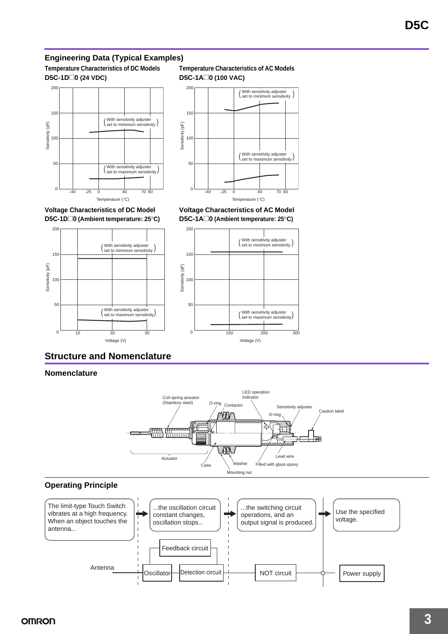### **Engineering Data (Typical Examples)**

**Temperature Characteristics of DC Models D5C-1D**@**0 (24 VDC)**







**Voltage Characteristics of DC Model D5C-1D**@**0 (Ambient temperature: 25**°**C)**







### **Structure and Nomenclature**

#### **Nomenclature**



#### **Operating Principle**

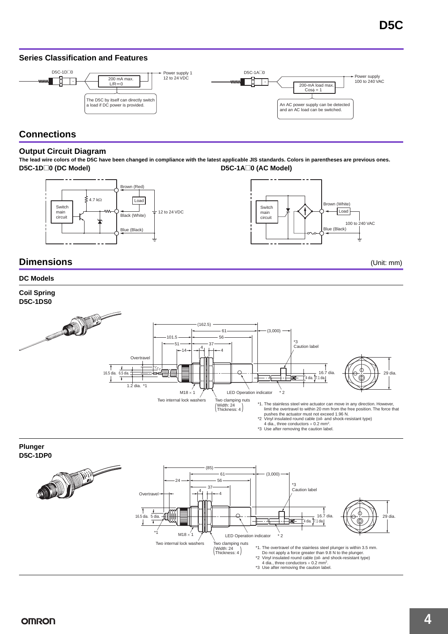### **Series Classification and Features**



### **Connections**

#### **Output Circuit Diagram**

**The lead wire colors of the D5C have been changed in compliance with the latest applicable JIS standards. Colors in parentheses are previous ones. D5C-1D**@**0 (DC Model) D5C-1A**@**0 (AC Model)**





### **Dimensions** (Unit: mm)

### **DC Models**

**Coil Spring D5C-1DS0 ANTIQUES** (162.5)  $-61$  $(3.000)$ 101.5 56  $*2$  $-51$ 37 Caution label 4  $-14$ 4 **Overtrave**  $\mathbf{\overline{1}}$ 6.5 dia. 16.5 dia. 16.7 dia. 29 dia.  $\left[4 \text{ dia.}\right]$ 7.1 dia.  $\overline{1}$  $1.2$  dia. \*1  $M18 \times 1$   $\overline{C}$  LED Operation indicator  $*2$ Two internal lock washers Two clamping nuts<br>  $(Micht: 24)$ \*1. The stainless steel wire actuator can move in any direction. However,  $(Width: 24$ <br>Thickness: 4 limit the overtravel to within 20 mm from the free position. The force that pushes the actuator must not exceed 1.96 N. \*2 Vinyl insulated round cable (oil- and shock-resistant type) 4 dia., three conductors  $\times$  0.2 mm<sup>2</sup>.<br>\*3 Use after removing the caution label.



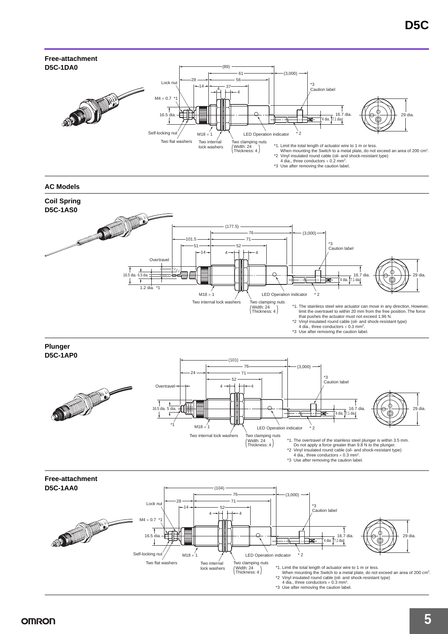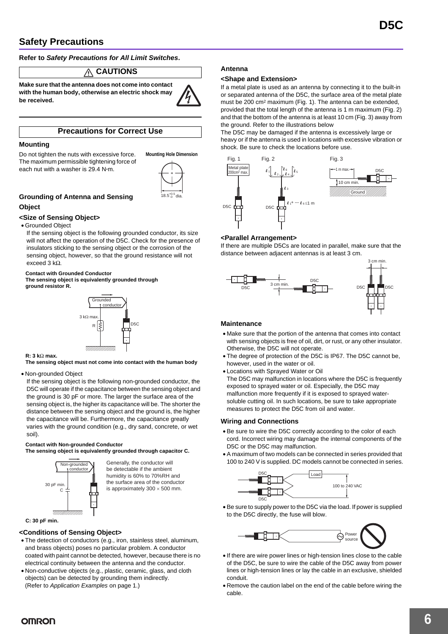### **Safety Precautions**

**Refer to** *Safety Precautions for All Limit Switches***.**

#### **CAUTIONS** Λ

**Make sure that the antenna does not come into contact with the human body, otherwise an electric shock may be received.**

#### **Precautions for Correct Use**

#### **Mounting**

Do not tighten the nuts with excessive force. The maximum permissible tightening force of each nut with a washer is 29.4 N**·**m.



**Mounting Hole Dimension**

#### **Grounding of Antenna and Sensing Object**

#### **<Size of Sensing Object>**

• Grounded Object

If the sensing object is the following grounded conductor, its size will not affect the operation of the D5C. Check for the presence of insulators sticking to the sensing object or the corrosion of the sensing object, however, so that the ground resistance will not exceed 3 kΩ.

#### **Contact with Grounded Conductor**

**The sensing object is equivalently grounded through ground resistor R.**



#### **R: 3 k**Ω **max.**

**The sensing object must not come into contact with the human body**

#### • Non-grounded Object

If the sensing object is the following non-grounded conductor, the D5C will operate if the capacitance between the sensing object and the ground is 30 pF or more. The larger the surface area of the sensing object is, the higher its capacitance will be. The shorter the distance between the sensing object and the ground is, the higher the capacitance will be. Furthermore, the capacitance greatly varies with the ground condition (e.g., dry sand, concrete, or wet soil).

#### **Contact with Non-grounded Conductor**

**The sensing object is equivalently grounded through capacitor C.**

Generally, the conductor will be detectable if the ambient humidity is 60% to 70%RH and the surface area of the conductor is approximately  $300 \times 500$  mm.





#### **<Conditions of Sensing Object>**

- The detection of conductors (e.g., iron, stainless steel, aluminum, and brass objects) poses no particular problem. A conductor coated with paint cannot be detected, however, because there is no electrical continuity between the antenna and the conductor.
- Non-conductive objects (e.g., plastic, ceramic, glass, and cloth objects) can be detected by grounding them indirectly. (Refer to *Application Examples* on page 1.)

#### **Antenna**

#### **<Shape and Extension>**

If a metal plate is used as an antenna by connecting it to the built-in or separated antenna of the D5C, the surface area of the metal plate must be 200 cm<sup>2</sup> maximum (Fig. 1). The antenna can be extended, provided that the total length of the antenna is 1 m maximum (Fig. 2) and that the bottom of the antenna is at least 10 cm (Fig. 3) away from the ground. Refer to the illustrations below

The D5C may be damaged if the antenna is excessively large or heavy or if the antenna is used in locations with excessive vibration or shock. Be sure to check the locations before use.



#### **<Parallel Arrangement>**

If there are multiple D5Cs are located in parallel, make sure that the distance between adjacent antennas is at least 3 cm.



#### **Maintenance**

- Make sure that the portion of the antenna that comes into contact with sensing objects is free of oil, dirt, or rust, or any other insulator. Otherwise, the D5C will not operate.
- The degree of protection of the D5C is IP67. The D5C cannot be, however, used in the water or oil.
- Locations with Sprayed Water or Oil
- The D5C may malfunction in locations where the D5C is frequently exposed to sprayed water or oil. Especially, the D5C may malfunction more frequently if it is exposed to sprayed watersoluble cutting oil. In such locations, be sure to take appropriate measures to protect the D5C from oil and water.

#### **Wiring and Connections**

- Be sure to wire the D5C correctly according to the color of each cord. Incorrect wiring may damage the internal components of the D5C or the D5C may malfunction.
- A maximum of two models can be connected in series provided that 100 to 240 V is supplied. DC models cannot be connected in series.



• Be sure to supply power to the D5C via the load. If power is supplied to the D5C directly, the fuse will blow.



- If there are wire power lines or high-tension lines close to the cable of the D5C, be sure to wire the cable of the D5C away from power lines or high-tension lines or lay the cable in an exclusive, shielded conduit.
- Remove the caution label on the end of the cable before wiring the cable.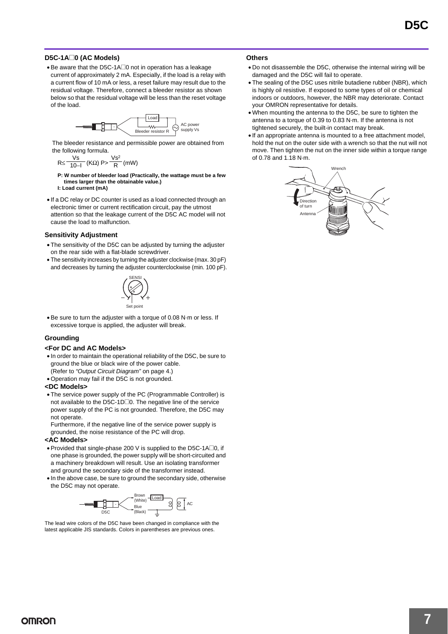#### **D5C-1A**@**0 (AC Models)**

• Be aware that the D5C-1A@0 not in operation has a leakage current of approximately 2 mA. Especially, if the load is a relay with a current flow of 10 mA or less, a reset failure may result due to the residual voltage. Therefore, connect a bleeder resistor as shown below so that the residual voltage will be less than the reset voltage of the load.



The bleeder resistance and permissible power are obtained from the following formula.

$$
R \le \frac{Vs}{10-l} (K\Omega) P > \frac{Vs^2}{R} (mW)
$$

- **P: W number of bleeder load (Practically, the wattage must be a few times larger than the obtainable value.) I: Load current (mA)**
- If a DC relay or DC counter is used as a load connected through an electronic timer or current rectification circuit, pay the utmost attention so that the leakage current of the D5C AC model will not cause the load to malfunction.

#### **Sensitivity Adjustment**

- The sensitivity of the D5C can be adjusted by turning the adjuster on the rear side with a flat-blade screwdriver.
- The sensitivity increases by turning the adjuster clockwise (max. 30 pF) and decreases by turning the adjuster counterclockwise (min. 100 pF).



• Be sure to turn the adjuster with a torque of 0.08 N·m or less. If excessive torque is applied, the adjuster will break.

#### **Grounding**

#### **<For DC and AC Models>**

- In order to maintain the operational reliability of the D5C, be sure to ground the blue or black wire of the power cable.
- (Refer to *"Output Circuit Diagram"* on page 4.) • Operation may fail if the D5C is not grounded.

#### **<DC Models>**

• The service power supply of the PC (Programmable Controller) is not available to the D5C-1D<sup>o</sup>. The negative line of the service power supply of the PC is not grounded. Therefore, the D5C may not operate.

Furthermore, if the negative line of the service power supply is grounded, the noise resistance of the PC will drop.

#### **<AC Models>**

- Provided that single-phase 200 V is supplied to the D5C-1A $\square$ 0, if one phase is grounded, the power supply will be short-circuited and a machinery breakdown will result. Use an isolating transformer and ground the secondary side of the transformer instead.
- In the above case, be sure to ground the secondary side, otherwise the D5C may not operate.



The lead wire colors of the D5C have been changed in compliance with the latest applicable JIS standards. Colors in parentheses are previous ones.

#### **Others**

- Do not disassemble the D5C, otherwise the internal wiring will be damaged and the D5C will fail to operate.
- The sealing of the D5C uses nitrile butadiene rubber (NBR), which is highly oil resistive. If exposed to some types of oil or chemical indoors or outdoors, however, the NBR may deteriorate. Contact your OMRON representative for details.
- When mounting the antenna to the D5C, be sure to tighten the antenna to a torque of 0.39 to 0.83 N·m. If the antenna is not tightened securely, the built-in contact may break.
- If an appropriate antenna is mounted to a free attachment model, hold the nut on the outer side with a wrench so that the nut will not move. Then tighten the nut on the inner side within a torque range of 0.78 and 1.18 N·m.